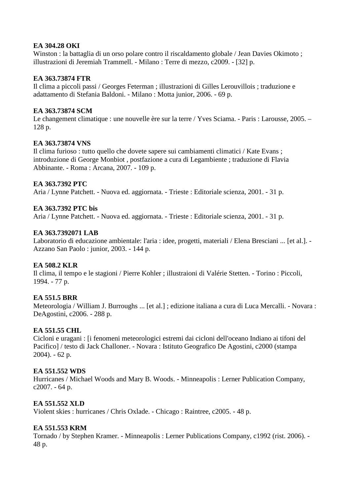### **EA 304.28 OKI**

Winston : la battaglia di un orso polare contro il riscaldamento globale / Jean Davies Okimoto ; illustrazioni di Jeremiah Trammell. - Milano : Terre di mezzo, c2009. - [32] p.

## **EA 363.73874 FTR**

Il clima a piccoli passi / Georges Feterman ; illustrazioni di Gilles Lerouvillois ; traduzione e adattamento di Stefania Baldoni. - Milano : Motta junior, 2006. - 69 p.

## **EA 363.73874 SCM**

Le changement climatique : une nouvelle ère sur la terre / Yves Sciama. - Paris : Larousse, 2005. – 128 p.

# **EA 363.73874 VNS**

Il clima furioso : tutto quello che dovete sapere sui cambiamenti climatici / Kate Evans ; introduzione di George Monbiot , postfazione a cura di Legambiente ; traduzione di Flavia Abbinante. - Roma : Arcana, 2007. - 109 p.

## **EA 363.7392 PTC**

Aria / Lynne Patchett. - Nuova ed. aggiornata. - Trieste : Editoriale scienza, 2001. - 31 p.

## **EA 363.7392 PTC bis**

Aria / Lynne Patchett. - Nuova ed. aggiornata. - Trieste : Editoriale scienza, 2001. - 31 p.

## **EA 363.7392071 LAB**

Laboratorio di educazione ambientale: l'aria : idee, progetti, materiali / Elena Bresciani ... [et al.]. - Azzano San Paolo : junior, 2003. - 144 p.

### **EA 508.2 KLR**

Il clima, il tempo e le stagioni / Pierre Kohler ; illustraioni di Valérie Stetten. - Torino : Piccoli, 1994. - 77 p.

# **EA 551.5 BRR**

Meteorologia / William J. Burroughs ... [et al.] ; edizione italiana a cura di Luca Mercalli. - Novara : DeAgostini, c2006. - 288 p.

# **EA 551.55 CHL**

Cicloni e uragani : [i fenomeni meteorologici estremi dai cicloni dell'oceano Indiano ai tifoni del Pacifico] / testo di Jack Challoner. - Novara : Istituto Geografico De Agostini, c2000 (stampa 2004). - 62 p.

### **EA 551.552 WDS**

Hurricanes / Michael Woods and Mary B. Woods. - Minneapolis : Lerner Publication Company, c2007. - 64 p.

# **EA 551.552 XLD**

Violent skies : hurricanes / Chris Oxlade. - Chicago : Raintree, c2005. - 48 p.

# **EA 551.553 KRM**

Tornado / by Stephen Kramer. - Minneapolis : Lerner Publications Company, c1992 (rist. 2006). - 48 p.